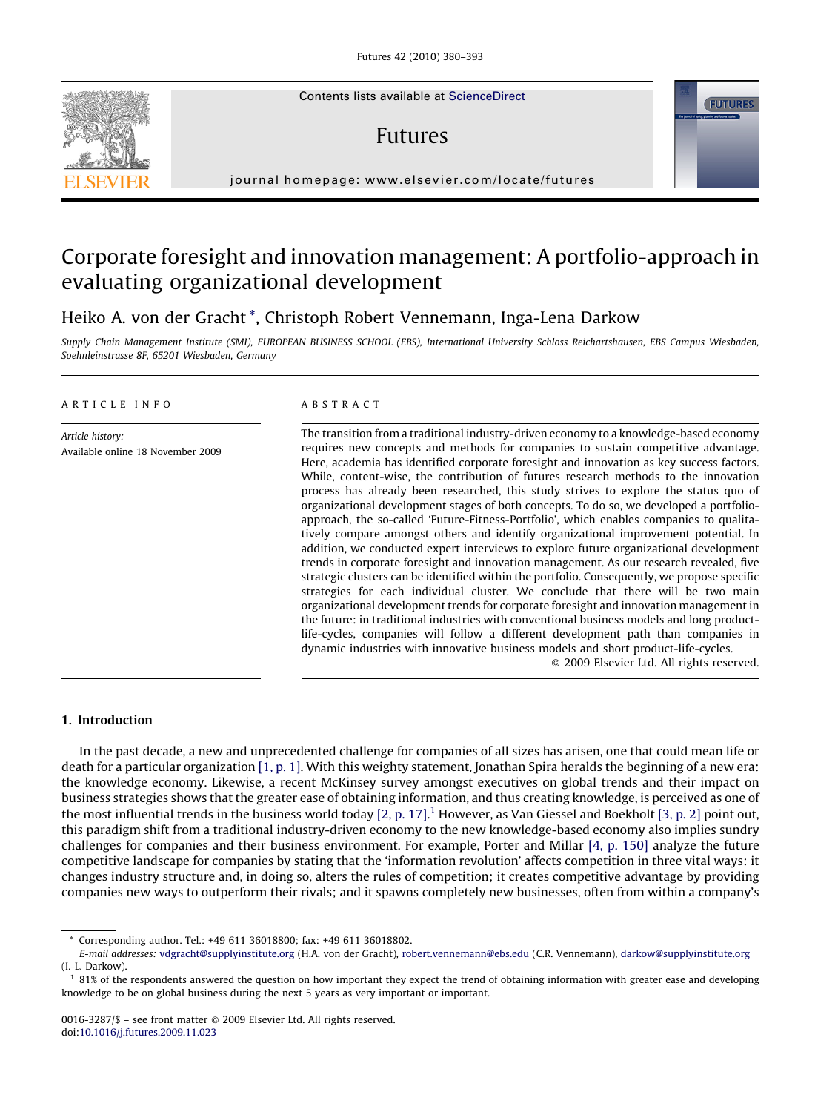Contents lists available at [ScienceDirect](http://www.sciencedirect.com/science/journal/00163287)

# Futures

journal homepage: www.elsevier.com/locate/futures

# Corporate foresight and innovation management: A portfolio-approach in evaluating organizational development

# Heiko A. von der Gracht \*, Christoph Robert Vennemann, Inga-Lena Darkow

Supply Chain Management Institute (SMI), EUROPEAN BUSINESS SCHOOL (EBS), International University Schloss Reichartshausen, EBS Campus Wiesbaden, Soehnleinstrasse 8F, 65201 Wiesbaden, Germany

#### ARTICLE INFO

Article history: Available online 18 November 2009

## ABSTRACT

The transition from a traditional industry-driven economy to a knowledge-based economy requires new concepts and methods for companies to sustain competitive advantage. Here, academia has identified corporate foresight and innovation as key success factors. While, content-wise, the contribution of futures research methods to the innovation process has already been researched, this study strives to explore the status quo of organizational development stages of both concepts. To do so, we developed a portfolioapproach, the so-called 'Future-Fitness-Portfolio', which enables companies to qualitatively compare amongst others and identify organizational improvement potential. In addition, we conducted expert interviews to explore future organizational development trends in corporate foresight and innovation management. As our research revealed, five strategic clusters can be identified within the portfolio. Consequently, we propose specific strategies for each individual cluster. We conclude that there will be two main organizational development trends for corporate foresight and innovation management in the future: in traditional industries with conventional business models and long productlife-cycles, companies will follow a different development path than companies in dynamic industries with innovative business models and short product-life-cycles. - 2009 Elsevier Ltd. All rights reserved.

# 1. Introduction

In the past decade, a new and unprecedented challenge for companies of all sizes has arisen, one that could mean life or death for a particular organization [\[1, p. 1\].](#page-11-0) With this weighty statement, Jonathan Spira heralds the beginning of a new era: the knowledge economy. Likewise, a recent McKinsey survey amongst executives on global trends and their impact on business strategies shows that the greater ease of obtaining information, and thus creating knowledge, is perceived as one of the most influential trends in the business world today [\[2, p. 17\]](#page-11-0).<sup>1</sup> However, as Van Giessel and Boekholt [\[3, p. 2\]](#page-11-0) point out, this paradigm shift from a traditional industry-driven economy to the new knowledge-based economy also implies sundry challenges for companies and their business environment. For example, Porter and Millar [\[4, p. 150\]](#page-11-0) analyze the future competitive landscape for companies by stating that the 'information revolution' affects competition in three vital ways: it changes industry structure and, in doing so, alters the rules of competition; it creates competitive advantage by providing companies new ways to outperform their rivals; and it spawns completely new businesses, often from within a company's





Corresponding author. Tel.: +49 611 36018800; fax: +49 611 36018802.

E-mail addresses: [vdgracht@supplyinstitute.org](mailto:vdgracht@supplyinstitute.org) (H.A. von der Gracht), [robert.vennemann@ebs.edu](mailto:robert.vennemann@ebs.edu) (C.R. Vennemann), [darkow@supplyinstitute.org](mailto:darkow@supplyinstitute.org) (I.-L. Darkow).

<sup>&</sup>lt;sup>1</sup> 81% of the respondents answered the question on how important they expect the trend of obtaining information with greater ease and developing knowledge to be on global business during the next 5 years as very important or important.

<sup>0016-3287/\$ –</sup> see front matter © 2009 Elsevier Ltd. All rights reserved. doi[:10.1016/j.futures.2009.11.023](http://dx.doi.org/10.1016/j.futures.2009.11.023)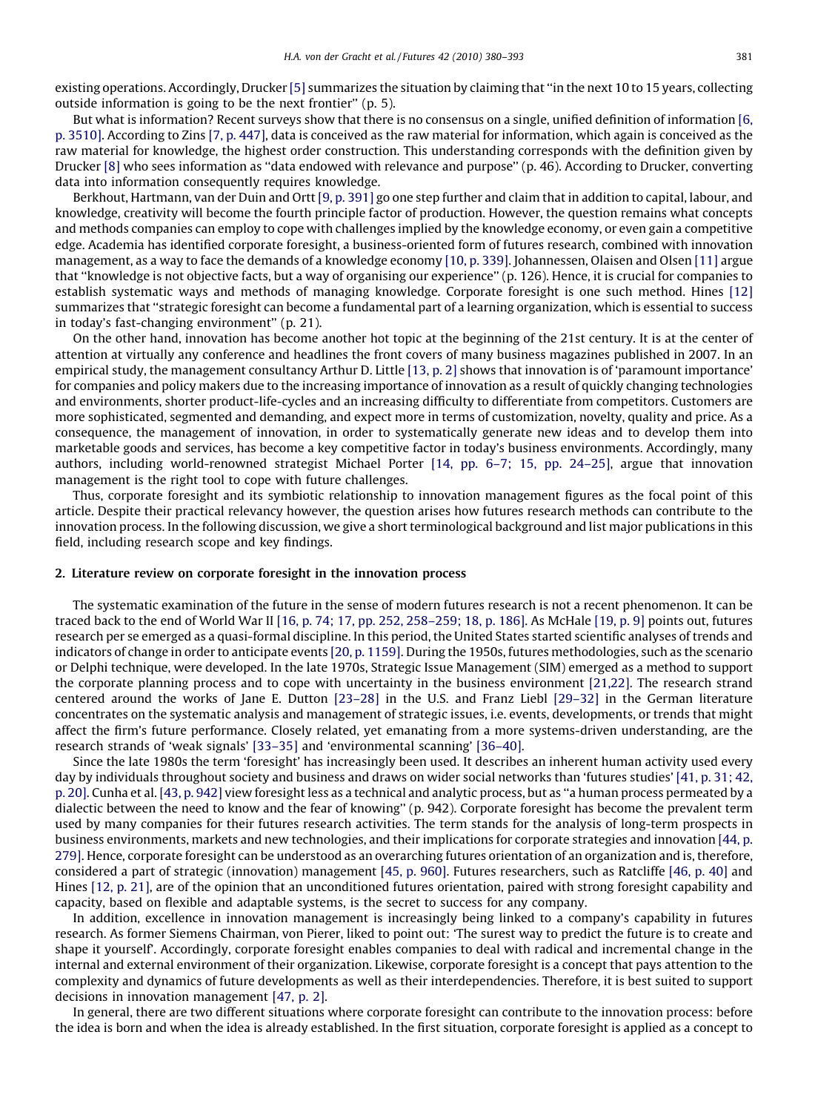existing operations. Accordingly, Drucker [\[5\]](#page-11-0) summarizes the situation by claiming that ''in the next 10 to 15 years, collecting outside information is going to be the next frontier'' (p. 5).

But what is information? Recent surveys show that there is no consensus on a single, unified definition of information [\[6,](#page-11-0) [p. 3510\].](#page-11-0) According to Zins [\[7, p. 447\]](#page-11-0), data is conceived as the raw material for information, which again is conceived as the raw material for knowledge, the highest order construction. This understanding corresponds with the definition given by Drucker [\[8\]](#page-11-0) who sees information as ''data endowed with relevance and purpose'' (p. 46). According to Drucker, converting data into information consequently requires knowledge.

Berkhout, Hartmann, van der Duin and Ortt [\[9, p. 391\]](#page-12-0) go one step further and claim that in addition to capital, labour, and knowledge, creativity will become the fourth principle factor of production. However, the question remains what concepts and methods companies can employ to cope with challenges implied by the knowledge economy, or even gain a competitive edge. Academia has identified corporate foresight, a business-oriented form of futures research, combined with innovation management, as a way to face the demands of a knowledge economy [\[10, p. 339\].](#page-12-0) Johannessen, Olaisen and Olsen [\[11\]](#page-12-0) argue that ''knowledge is not objective facts, but a way of organising our experience'' (p. 126). Hence, it is crucial for companies to establish systematic ways and methods of managing knowledge. Corporate foresight is one such method. Hines [\[12\]](#page-12-0) summarizes that ''strategic foresight can become a fundamental part of a learning organization, which is essential to success in today's fast-changing environment'' (p. 21).

On the other hand, innovation has become another hot topic at the beginning of the 21st century. It is at the center of attention at virtually any conference and headlines the front covers of many business magazines published in 2007. In an empirical study, the management consultancy Arthur D. Little [\[13, p. 2\]](#page-12-0) shows that innovation is of 'paramount importance' for companies and policy makers due to the increasing importance of innovation as a result of quickly changing technologies and environments, shorter product-life-cycles and an increasing difficulty to differentiate from competitors. Customers are more sophisticated, segmented and demanding, and expect more in terms of customization, novelty, quality and price. As a consequence, the management of innovation, in order to systematically generate new ideas and to develop them into marketable goods and services, has become a key competitive factor in today's business environments. Accordingly, many authors, including world-renowned strategist Michael Porter [\[14, pp. 6–7; 15, pp. 24–25\],](#page-12-0) argue that innovation management is the right tool to cope with future challenges.

Thus, corporate foresight and its symbiotic relationship to innovation management figures as the focal point of this article. Despite their practical relevancy however, the question arises how futures research methods can contribute to the innovation process. In the following discussion, we give a short terminological background and list major publications in this field, including research scope and key findings.

#### 2. Literature review on corporate foresight in the innovation process

The systematic examination of the future in the sense of modern futures research is not a recent phenomenon. It can be traced back to the end of World War II [\[16, p. 74; 17, pp. 252, 258–259; 18, p. 186\].](#page-12-0) As McHale [\[19, p. 9\]](#page-12-0) points out, futures research per se emerged as a quasi-formal discipline. In this period, the United States started scientific analyses of trends and indicators of change in order to anticipate events [\[20, p. 1159\].](#page-12-0) During the 1950s, futures methodologies, such as the scenario or Delphi technique, were developed. In the late 1970s, Strategic Issue Management (SIM) emerged as a method to support the corporate planning process and to cope with uncertainty in the business environment [\[21,22\].](#page-12-0) The research strand centered around the works of Jane E. Dutton [\[23–28\]](#page-12-0) in the U.S. and Franz Liebl [\[29–32\]](#page-12-0) in the German literature concentrates on the systematic analysis and management of strategic issues, i.e. events, developments, or trends that might affect the firm's future performance. Closely related, yet emanating from a more systems-driven understanding, are the research strands of 'weak signals' [\[33–35\]](#page-12-0) and 'environmental scanning' [\[36–40\]](#page-12-0).

Since the late 1980s the term 'foresight' has increasingly been used. It describes an inherent human activity used every day by individuals throughout society and business and draws on wider social networks than 'futures studies' [\[41, p. 31; 42,](#page-12-0) [p. 20\].](#page-12-0) Cunha et al. [\[43, p. 942\]](#page-12-0) view foresight less as a technical and analytic process, but as ''a human process permeated by a dialectic between the need to know and the fear of knowing'' (p. 942). Corporate foresight has become the prevalent term used by many companies for their futures research activities. The term stands for the analysis of long-term prospects in business environments, markets and new technologies, and their implications for corporate strategies and innovation [\[44, p.](#page-12-0) [279\]](#page-12-0). Hence, corporate foresight can be understood as an overarching futures orientation of an organization and is, therefore, considered a part of strategic (innovation) management [\[45, p. 960\]](#page-12-0). Futures researchers, such as Ratcliffe [\[46, p. 40\]](#page-12-0) and Hines [\[12, p. 21\],](#page-12-0) are of the opinion that an unconditioned futures orientation, paired with strong foresight capability and capacity, based on flexible and adaptable systems, is the secret to success for any company.

In addition, excellence in innovation management is increasingly being linked to a company's capability in futures research. As former Siemens Chairman, von Pierer, liked to point out: 'The surest way to predict the future is to create and shape it yourself'. Accordingly, corporate foresight enables companies to deal with radical and incremental change in the internal and external environment of their organization. Likewise, corporate foresight is a concept that pays attention to the complexity and dynamics of future developments as well as their interdependencies. Therefore, it is best suited to support decisions in innovation management [\[47, p. 2\].](#page-12-0)

In general, there are two different situations where corporate foresight can contribute to the innovation process: before the idea is born and when the idea is already established. In the first situation, corporate foresight is applied as a concept to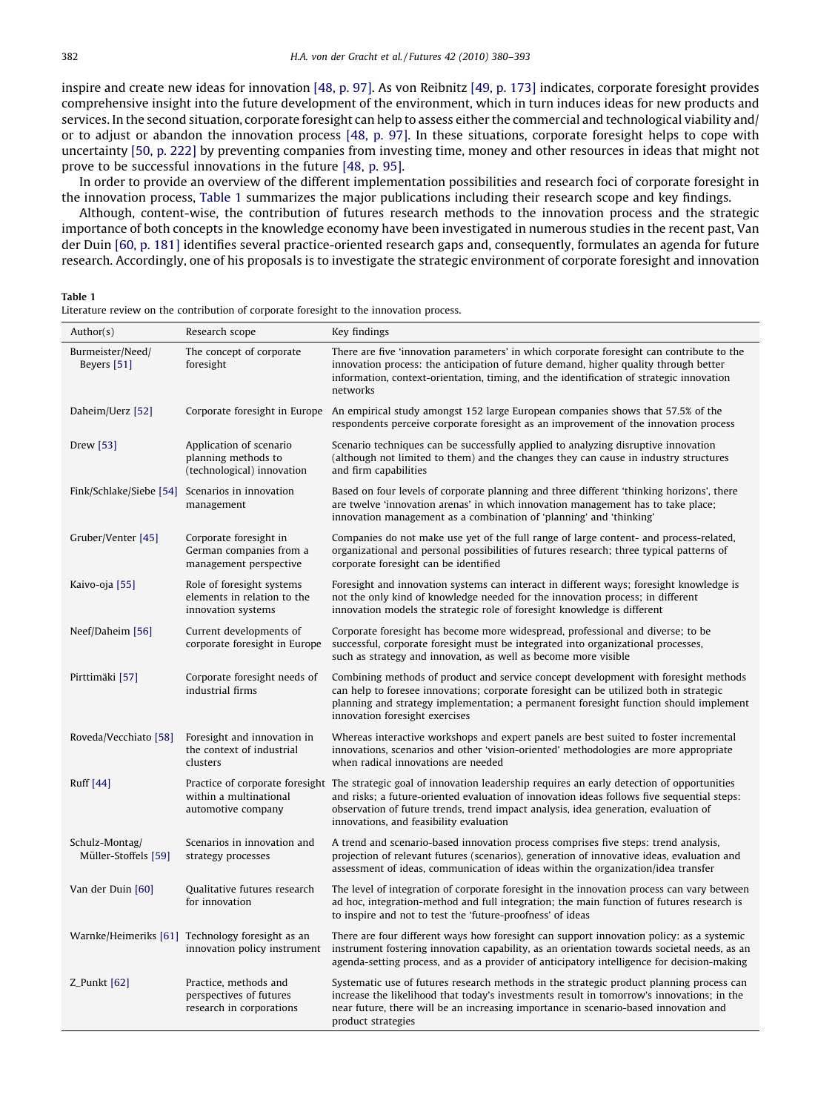inspire and create new ideas for innovation [\[48, p. 97\]](#page-12-0). As von Reibnitz [\[49, p. 173\]](#page-12-0) indicates, corporate foresight provides comprehensive insight into the future development of the environment, which in turn induces ideas for new products and services. In the second situation, corporate foresight can help to assess either the commercial and technological viability and/ or to adjust or abandon the innovation process [\[48, p. 97\]](#page-12-0). In these situations, corporate foresight helps to cope with uncertainty [\[50, p. 222\]](#page-12-0) by preventing companies from investing time, money and other resources in ideas that might not prove to be successful innovations in the future [\[48, p. 95\].](#page-12-0)

In order to provide an overview of the different implementation possibilities and research foci of corporate foresight in the innovation process, Table 1 summarizes the major publications including their research scope and key findings.

Although, content-wise, the contribution of futures research methods to the innovation process and the strategic importance of both concepts in the knowledge economy have been investigated in numerous studies in the recent past, Van der Duin [\[60, p. 181\]](#page-12-0) identifies several practice-oriented research gaps and, consequently, formulates an agenda for future research. Accordingly, one of his proposals is to investigate the strategic environment of corporate foresight and innovation

#### Table 1

Literature review on the contribution of corporate foresight to the innovation process.

| Author(s)                              | Research scope                                                                   | Key findings                                                                                                                                                                                                                                                                                                                                             |
|----------------------------------------|----------------------------------------------------------------------------------|----------------------------------------------------------------------------------------------------------------------------------------------------------------------------------------------------------------------------------------------------------------------------------------------------------------------------------------------------------|
| Burmeister/Need/<br>Beyers [51]        | The concept of corporate<br>foresight                                            | There are five 'innovation parameters' in which corporate foresight can contribute to the<br>innovation process: the anticipation of future demand, higher quality through better<br>information, context-orientation, timing, and the identification of strategic innovation<br>networks                                                                |
| Daheim/Uerz [52]                       |                                                                                  | Corporate foresight in Europe An empirical study amongst 152 large European companies shows that 57.5% of the<br>respondents perceive corporate foresight as an improvement of the innovation process                                                                                                                                                    |
| Drew [53]                              | Application of scenario<br>planning methods to<br>(technological) innovation     | Scenario techniques can be successfully applied to analyzing disruptive innovation<br>(although not limited to them) and the changes they can cause in industry structures<br>and firm capabilities                                                                                                                                                      |
|                                        | Fink/Schlake/Siebe [54] Scenarios in innovation<br>management                    | Based on four levels of corporate planning and three different 'thinking horizons', there<br>are twelve 'innovation arenas' in which innovation management has to take place;<br>innovation management as a combination of 'planning' and 'thinking'                                                                                                     |
| Gruber/Venter [45]                     | Corporate foresight in<br>German companies from a<br>management perspective      | Companies do not make use yet of the full range of large content- and process-related,<br>organizational and personal possibilities of futures research; three typical patterns of<br>corporate foresight can be identified                                                                                                                              |
| Kaivo-oja [55]                         | Role of foresight systems<br>elements in relation to the<br>innovation systems   | Foresight and innovation systems can interact in different ways; foresight knowledge is<br>not the only kind of knowledge needed for the innovation process; in different<br>innovation models the strategic role of foresight knowledge is different                                                                                                    |
| Neef/Daheim [56]                       | Current developments of<br>corporate foresight in Europe                         | Corporate foresight has become more widespread, professional and diverse; to be<br>successful, corporate foresight must be integrated into organizational processes,<br>such as strategy and innovation, as well as become more visible                                                                                                                  |
| Pirttimäki [57]                        | Corporate foresight needs of<br>industrial firms                                 | Combining methods of product and service concept development with foresight methods<br>can help to foresee innovations; corporate foresight can be utilized both in strategic<br>planning and strategy implementation; a permanent foresight function should implement<br>innovation foresight exercises                                                 |
| Roveda/Vecchiato [58]                  | Foresight and innovation in<br>the context of industrial<br>clusters             | Whereas interactive workshops and expert panels are best suited to foster incremental<br>innovations, scenarios and other 'vision-oriented' methodologies are more appropriate<br>when radical innovations are needed                                                                                                                                    |
| Ruff [44]                              | within a multinational<br>automotive company                                     | Practice of corporate foresight The strategic goal of innovation leadership requires an early detection of opportunities<br>and risks; a future-oriented evaluation of innovation ideas follows five sequential steps:<br>observation of future trends, trend impact analysis, idea generation, evaluation of<br>innovations, and feasibility evaluation |
| Schulz-Montag/<br>Müller-Stoffels [59] | Scenarios in innovation and<br>strategy processes                                | A trend and scenario-based innovation process comprises five steps: trend analysis,<br>projection of relevant futures (scenarios), generation of innovative ideas, evaluation and<br>assessment of ideas, communication of ideas within the organization/idea transfer                                                                                   |
| Van der Duin [60]                      | Qualitative futures research<br>for innovation                                   | The level of integration of corporate foresight in the innovation process can vary between<br>ad hoc, integration-method and full integration; the main function of futures research is<br>to inspire and not to test the 'future-proofness' of ideas                                                                                                    |
|                                        | Warnke/Heimeriks [61] Technology foresight as an<br>innovation policy instrument | There are four different ways how foresight can support innovation policy: as a systemic<br>instrument fostering innovation capability, as an orientation towards societal needs, as an<br>agenda-setting process, and as a provider of anticipatory intelligence for decision-making                                                                    |
| Z_Punkt [62]                           | Practice, methods and<br>perspectives of futures<br>research in corporations     | Systematic use of futures research methods in the strategic product planning process can<br>increase the likelihood that today's investments result in tomorrow's innovations; in the<br>near future, there will be an increasing importance in scenario-based innovation and<br>product strategies                                                      |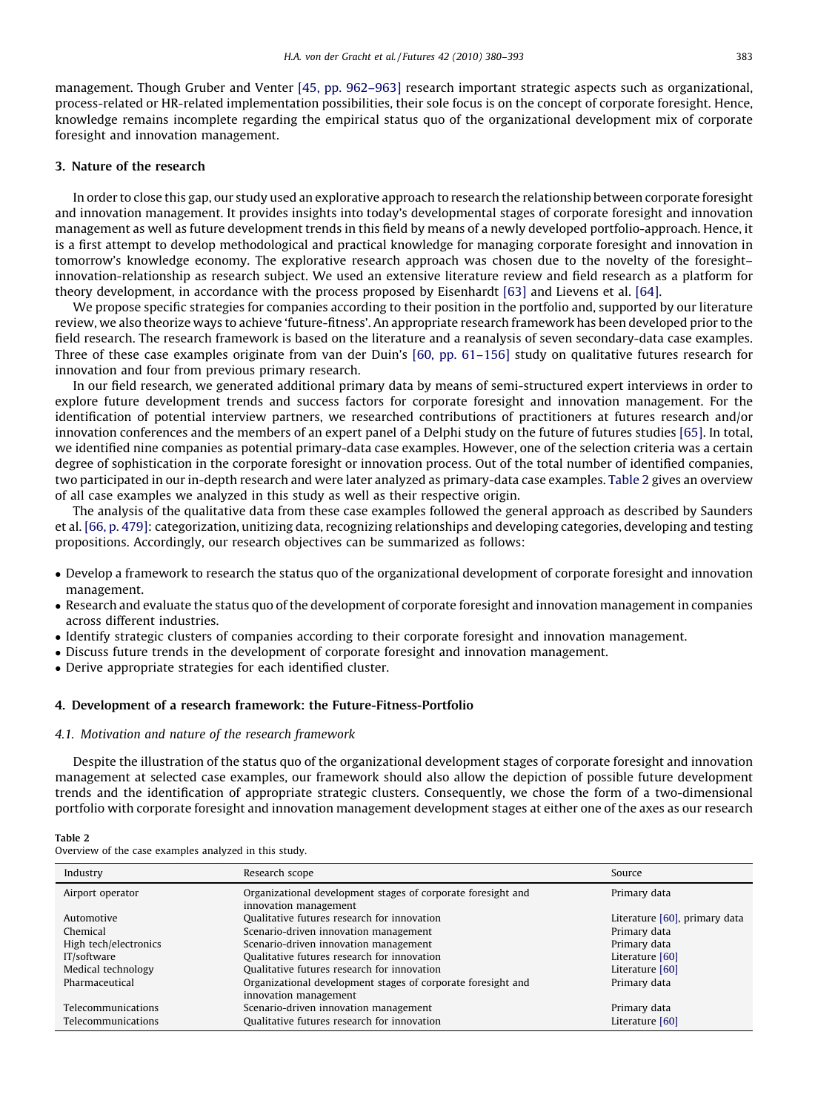management. Though Gruber and Venter [\[45, pp. 962–963\]](#page-12-0) research important strategic aspects such as organizational, process-related or HR-related implementation possibilities, their sole focus is on the concept of corporate foresight. Hence, knowledge remains incomplete regarding the empirical status quo of the organizational development mix of corporate foresight and innovation management.

# 3. Nature of the research

In order to close this gap, our study used an explorative approach to research the relationship between corporate foresight and innovation management. It provides insights into today's developmental stages of corporate foresight and innovation management as well as future development trends in this field by means of a newly developed portfolio-approach. Hence, it is a first attempt to develop methodological and practical knowledge for managing corporate foresight and innovation in tomorrow's knowledge economy. The explorative research approach was chosen due to the novelty of the foresight– innovation-relationship as research subject. We used an extensive literature review and field research as a platform for theory development, in accordance with the process proposed by Eisenhardt [\[63\]](#page-12-0) and Lievens et al. [\[64\]](#page-12-0).

We propose specific strategies for companies according to their position in the portfolio and, supported by our literature review, we also theorize ways to achieve 'future-fitness'. An appropriate research framework has been developed prior to the field research. The research framework is based on the literature and a reanalysis of seven secondary-data case examples. Three of these case examples originate from van der Duin's [\[60, pp. 61–156\]](#page-12-0) study on qualitative futures research for innovation and four from previous primary research.

In our field research, we generated additional primary data by means of semi-structured expert interviews in order to explore future development trends and success factors for corporate foresight and innovation management. For the identification of potential interview partners, we researched contributions of practitioners at futures research and/or innovation conferences and the members of an expert panel of a Delphi study on the future of futures studies [\[65\].](#page-12-0) In total, we identified nine companies as potential primary-data case examples. However, one of the selection criteria was a certain degree of sophistication in the corporate foresight or innovation process. Out of the total number of identified companies, two participated in our in-depth research and were later analyzed as primary-data case examples. Table 2 gives an overview of all case examples we analyzed in this study as well as their respective origin.

The analysis of the qualitative data from these case examples followed the general approach as described by Saunders et al. [\[66, p. 479\]:](#page-13-0) categorization, unitizing data, recognizing relationships and developing categories, developing and testing propositions. Accordingly, our research objectives can be summarized as follows:

- Develop a framework to research the status quo of the organizational development of corporate foresight and innovation management.
- Research and evaluate the status quo of the development of corporate foresight and innovation management in companies across different industries.
- Identify strategic clusters of companies according to their corporate foresight and innovation management.
- Discuss future trends in the development of corporate foresight and innovation management.
- Derive appropriate strategies for each identified cluster.

### 4. Development of a research framework: the Future-Fitness-Portfolio

#### 4.1. Motivation and nature of the research framework

Despite the illustration of the status quo of the organizational development stages of corporate foresight and innovation management at selected case examples, our framework should also allow the depiction of possible future development trends and the identification of appropriate strategic clusters. Consequently, we chose the form of a two-dimensional portfolio with corporate foresight and innovation management development stages at either one of the axes as our research

#### Table 2

| Industry              | Research scope                                                                        | Source                        |
|-----------------------|---------------------------------------------------------------------------------------|-------------------------------|
| Airport operator      | Organizational development stages of corporate foresight and<br>innovation management | Primary data                  |
| Automotive            | Qualitative futures research for innovation                                           | Literature [60], primary data |
| Chemical              | Scenario-driven innovation management                                                 | Primary data                  |
| High tech/electronics | Scenario-driven innovation management                                                 | Primary data                  |
| IT/software           | Qualitative futures research for innovation                                           | Literature [60]               |
| Medical technology    | Qualitative futures research for innovation                                           | Literature [60]               |
| Pharmaceutical        | Organizational development stages of corporate foresight and<br>innovation management | Primary data                  |
| Telecommunications    | Scenario-driven innovation management                                                 | Primary data                  |
| Telecommunications    | Qualitative futures research for innovation                                           | Literature [60]               |
|                       |                                                                                       |                               |

Overview of the case examples analyzed in this study.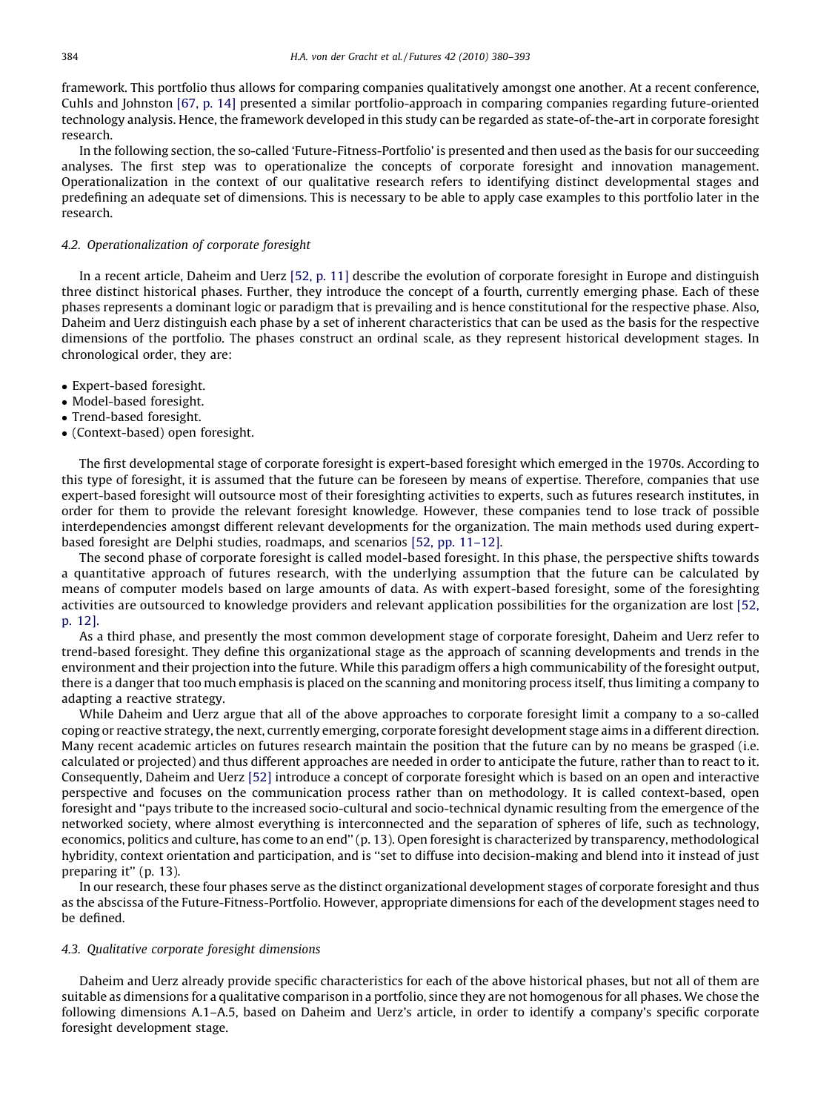framework. This portfolio thus allows for comparing companies qualitatively amongst one another. At a recent conference, Cuhls and Johnston [\[67, p. 14\]](#page-13-0) presented a similar portfolio-approach in comparing companies regarding future-oriented technology analysis. Hence, the framework developed in this study can be regarded as state-of-the-art in corporate foresight research.

In the following section, the so-called 'Future-Fitness-Portfolio' is presented and then used as the basis for our succeeding analyses. The first step was to operationalize the concepts of corporate foresight and innovation management. Operationalization in the context of our qualitative research refers to identifying distinct developmental stages and predefining an adequate set of dimensions. This is necessary to be able to apply case examples to this portfolio later in the research.

#### 4.2. Operationalization of corporate foresight

In a recent article, Daheim and Uerz [\[52, p. 11\]](#page-12-0) describe the evolution of corporate foresight in Europe and distinguish three distinct historical phases. Further, they introduce the concept of a fourth, currently emerging phase. Each of these phases represents a dominant logic or paradigm that is prevailing and is hence constitutional for the respective phase. Also, Daheim and Uerz distinguish each phase by a set of inherent characteristics that can be used as the basis for the respective dimensions of the portfolio. The phases construct an ordinal scale, as they represent historical development stages. In chronological order, they are:

- Expert-based foresight.
- Model-based foresight.
- Trend-based foresight.
- (Context-based) open foresight.

The first developmental stage of corporate foresight is expert-based foresight which emerged in the 1970s. According to this type of foresight, it is assumed that the future can be foreseen by means of expertise. Therefore, companies that use expert-based foresight will outsource most of their foresighting activities to experts, such as futures research institutes, in order for them to provide the relevant foresight knowledge. However, these companies tend to lose track of possible interdependencies amongst different relevant developments for the organization. The main methods used during expertbased foresight are Delphi studies, roadmaps, and scenarios [\[52, pp. 11–12\]](#page-12-0).

The second phase of corporate foresight is called model-based foresight. In this phase, the perspective shifts towards a quantitative approach of futures research, with the underlying assumption that the future can be calculated by means of computer models based on large amounts of data. As with expert-based foresight, some of the foresighting activities are outsourced to knowledge providers and relevant application possibilities for the organization are lost [\[52,](#page-12-0) [p. 12\]](#page-12-0).

As a third phase, and presently the most common development stage of corporate foresight, Daheim and Uerz refer to trend-based foresight. They define this organizational stage as the approach of scanning developments and trends in the environment and their projection into the future. While this paradigm offers a high communicability of the foresight output, there is a danger that too much emphasis is placed on the scanning and monitoring process itself, thus limiting a company to adapting a reactive strategy.

While Daheim and Uerz argue that all of the above approaches to corporate foresight limit a company to a so-called coping or reactive strategy, the next, currently emerging, corporate foresight development stage aims in a different direction. Many recent academic articles on futures research maintain the position that the future can by no means be grasped (i.e. calculated or projected) and thus different approaches are needed in order to anticipate the future, rather than to react to it. Consequently, Daheim and Uerz [\[52\]](#page-12-0) introduce a concept of corporate foresight which is based on an open and interactive perspective and focuses on the communication process rather than on methodology. It is called context-based, open foresight and ''pays tribute to the increased socio-cultural and socio-technical dynamic resulting from the emergence of the networked society, where almost everything is interconnected and the separation of spheres of life, such as technology, economics, politics and culture, has come to an end'' (p. 13). Open foresight is characterized by transparency, methodological hybridity, context orientation and participation, and is ''set to diffuse into decision-making and blend into it instead of just preparing it'' (p. 13).

In our research, these four phases serve as the distinct organizational development stages of corporate foresight and thus as the abscissa of the Future-Fitness-Portfolio. However, appropriate dimensions for each of the development stages need to be defined.

#### 4.3. Qualitative corporate foresight dimensions

Daheim and Uerz already provide specific characteristics for each of the above historical phases, but not all of them are suitable as dimensions for a qualitative comparison in a portfolio, since they are not homogenous for all phases. We chose the following dimensions A.1–A.5, based on Daheim and Uerz's article, in order to identify a company's specific corporate foresight development stage.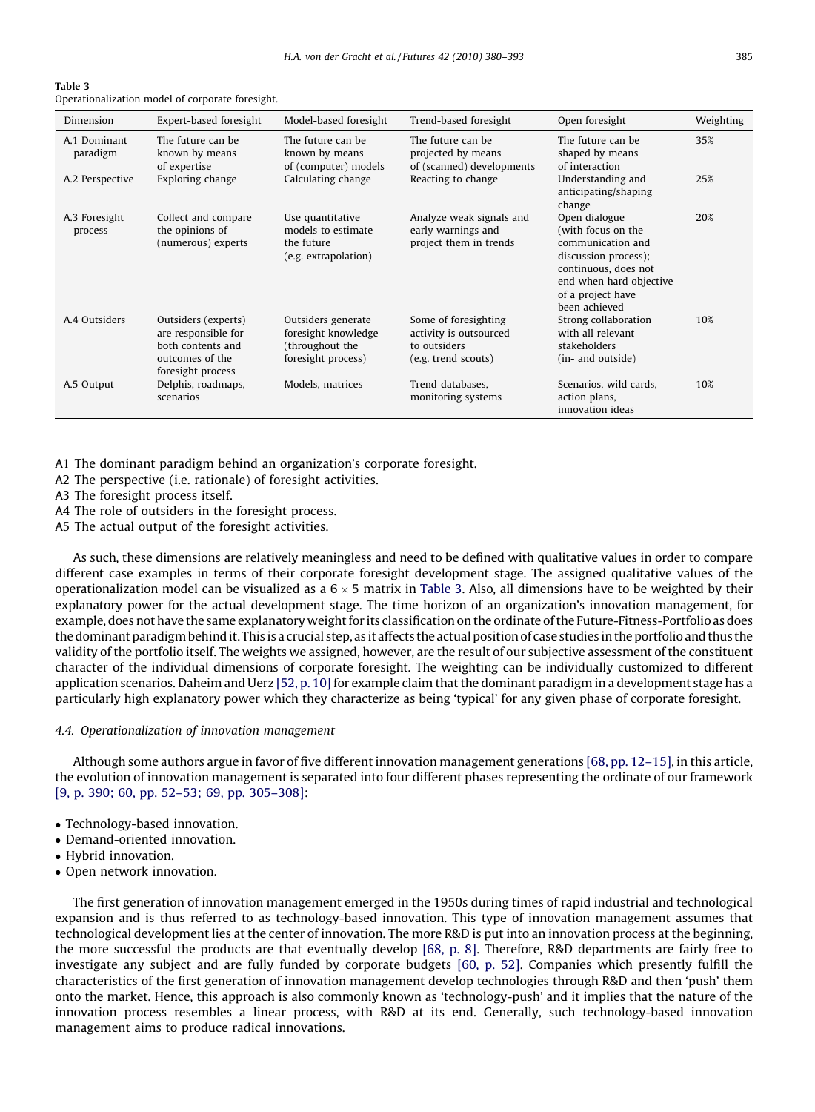| Table 3                                          |  |  |
|--------------------------------------------------|--|--|
| Operationalization model of corporate foresight. |  |  |

| Dimension                | Expert-based foresight                                                                                  | Model-based foresight                                                              | Trend-based foresight                                                                 | Open foresight                                                                                                                                                            | Weighting |
|--------------------------|---------------------------------------------------------------------------------------------------------|------------------------------------------------------------------------------------|---------------------------------------------------------------------------------------|---------------------------------------------------------------------------------------------------------------------------------------------------------------------------|-----------|
| A.1 Dominant<br>paradigm | The future can be<br>known by means<br>of expertise                                                     | The future can be<br>known by means<br>of (computer) models                        | The future can be<br>projected by means<br>of (scanned) developments                  | The future can be<br>shaped by means<br>of interaction                                                                                                                    | 35%       |
| A.2 Perspective          | Exploring change                                                                                        | Calculating change                                                                 | Reacting to change                                                                    | Understanding and<br>anticipating/shaping<br>change                                                                                                                       | 25%       |
| A.3 Foresight<br>process | Collect and compare<br>the opinions of<br>(numerous) experts                                            | Use quantitative<br>models to estimate<br>the future<br>(e.g. extrapolation)       | Analyze weak signals and<br>early warnings and<br>project them in trends              | Open dialogue<br>(with focus on the<br>communication and<br>discussion process);<br>continuous, does not<br>end when hard objective<br>of a project have<br>been achieved | 20%       |
| A.4 Outsiders            | Outsiders (experts)<br>are responsible for<br>both contents and<br>outcomes of the<br>foresight process | Outsiders generate<br>foresight knowledge<br>(throughout the<br>foresight process) | Some of foresighting<br>activity is outsourced<br>to outsiders<br>(e.g. trend scouts) | Strong collaboration<br>with all relevant<br>stakeholders<br>(in- and outside)                                                                                            | 10%       |
| A.5 Output               | Delphis, roadmaps,<br>scenarios                                                                         | Models, matrices                                                                   | Trend-databases.<br>monitoring systems                                                | Scenarios, wild cards,<br>action plans,<br>innovation ideas                                                                                                               | 10%       |

A1 The dominant paradigm behind an organization's corporate foresight.

- A2 The perspective (i.e. rationale) of foresight activities.
- A3 The foresight process itself.

A4 The role of outsiders in the foresight process.

A5 The actual output of the foresight activities.

As such, these dimensions are relatively meaningless and need to be defined with qualitative values in order to compare different case examples in terms of their corporate foresight development stage. The assigned qualitative values of the operationalization model can be visualized as a  $6 \times 5$  matrix in Table 3. Also, all dimensions have to be weighted by their explanatory power for the actual development stage. The time horizon of an organization's innovation management, for example, does not have the same explanatory weight for its classification on the ordinate of the Future-Fitness-Portfolio as does the dominant paradigm behind it. This is a crucial step, as it affects the actual position of case studies in the portfolio and thus the validity of the portfolio itself. The weights we assigned, however, are the result of our subjective assessment of the constituent character of the individual dimensions of corporate foresight. The weighting can be individually customized to different application scenarios. Daheim and Uerz [\[52, p. 10\]](#page-12-0) for example claim that the dominant paradigm in a development stage has a particularly high explanatory power which they characterize as being 'typical' for any given phase of corporate foresight.

#### 4.4. Operationalization of innovation management

Although some authors argue in favor of five different innovation management generations [\[68, pp. 12–15\],](#page-13-0) in this article, the evolution of innovation management is separated into four different phases representing the ordinate of our framework [\[9, p. 390; 60, pp. 52–53; 69, pp. 305–308\]](#page-12-0):

- Technology-based innovation.
- Demand-oriented innovation.
- Hybrid innovation.
- Open network innovation.

The first generation of innovation management emerged in the 1950s during times of rapid industrial and technological expansion and is thus referred to as technology-based innovation. This type of innovation management assumes that technological development lies at the center of innovation. The more R&D is put into an innovation process at the beginning, the more successful the products are that eventually develop [\[68, p. 8\].](#page-13-0) Therefore, R&D departments are fairly free to investigate any subject and are fully funded by corporate budgets [\[60, p. 52\]](#page-12-0). Companies which presently fulfill the characteristics of the first generation of innovation management develop technologies through R&D and then 'push' them onto the market. Hence, this approach is also commonly known as 'technology-push' and it implies that the nature of the innovation process resembles a linear process, with R&D at its end. Generally, such technology-based innovation management aims to produce radical innovations.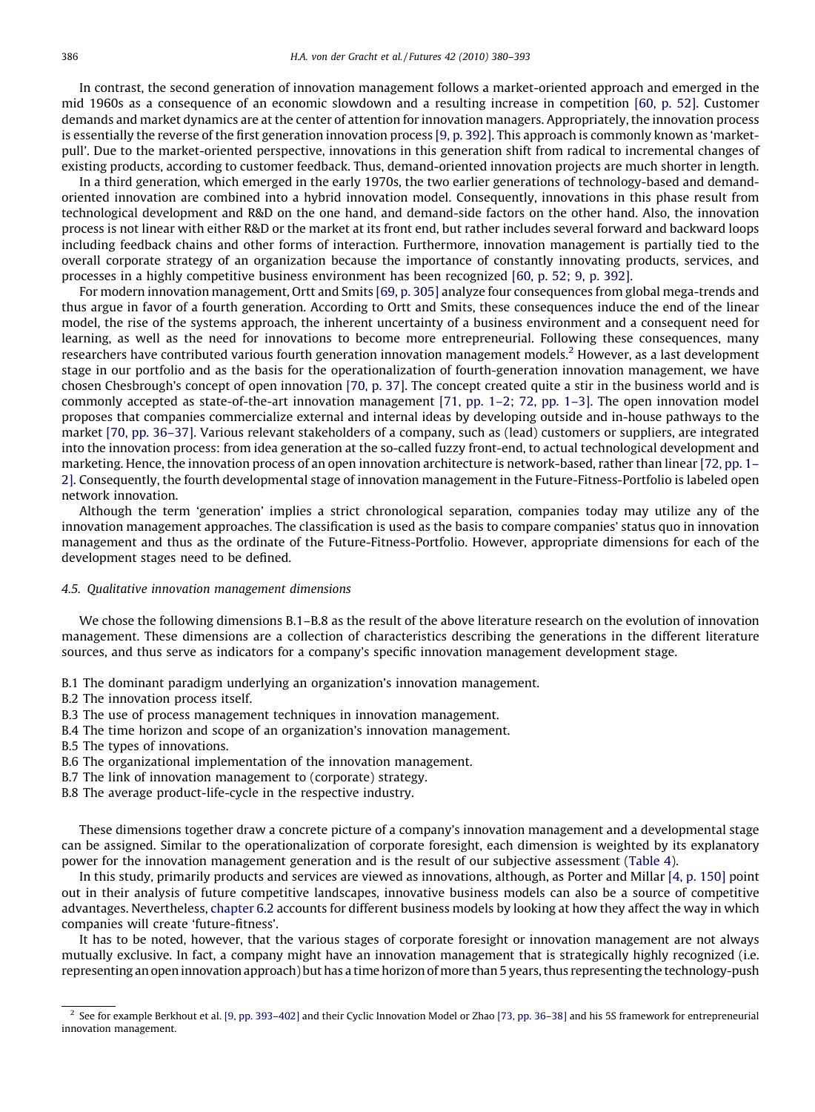In contrast, the second generation of innovation management follows a market-oriented approach and emerged in the mid 1960s as a consequence of an economic slowdown and a resulting increase in competition [\[60, p. 52\]](#page-12-0). Customer demands and market dynamics are at the center of attention for innovation managers. Appropriately, the innovation process is essentially the reverse of the first generation innovation process [\[9, p. 392\]](#page-12-0). This approach is commonly known as 'marketpull'. Due to the market-oriented perspective, innovations in this generation shift from radical to incremental changes of existing products, according to customer feedback. Thus, demand-oriented innovation projects are much shorter in length.

In a third generation, which emerged in the early 1970s, the two earlier generations of technology-based and demandoriented innovation are combined into a hybrid innovation model. Consequently, innovations in this phase result from technological development and R&D on the one hand, and demand-side factors on the other hand. Also, the innovation process is not linear with either R&D or the market at its front end, but rather includes several forward and backward loops including feedback chains and other forms of interaction. Furthermore, innovation management is partially tied to the overall corporate strategy of an organization because the importance of constantly innovating products, services, and processes in a highly competitive business environment has been recognized [\[60, p. 52; 9, p. 392\]](#page-12-0).

For modern innovation management, Ortt and Smits [\[69, p. 305\]](#page-13-0) analyze four consequences from global mega-trends and thus argue in favor of a fourth generation. According to Ortt and Smits, these consequences induce the end of the linear model, the rise of the systems approach, the inherent uncertainty of a business environment and a consequent need for learning, as well as the need for innovations to become more entrepreneurial. Following these consequences, many researchers have contributed various fourth generation innovation management models.<sup>2</sup> However, as a last development stage in our portfolio and as the basis for the operationalization of fourth-generation innovation management, we have chosen Chesbrough's concept of open innovation [\[70, p. 37\]](#page-13-0). The concept created quite a stir in the business world and is commonly accepted as state-of-the-art innovation management [\[71, pp. 1–2; 72, pp. 1–3\]](#page-13-0). The open innovation model proposes that companies commercialize external and internal ideas by developing outside and in-house pathways to the market [\[70, pp. 36–37\]](#page-13-0). Various relevant stakeholders of a company, such as (lead) customers or suppliers, are integrated into the innovation process: from idea generation at the so-called fuzzy front-end, to actual technological development and marketing. Hence, the innovation process of an open innovation architecture is network-based, rather than linear [\[72, pp. 1–](#page-13-0) [2\].](#page-13-0) Consequently, the fourth developmental stage of innovation management in the Future-Fitness-Portfolio is labeled open network innovation.

Although the term 'generation' implies a strict chronological separation, companies today may utilize any of the innovation management approaches. The classification is used as the basis to compare companies' status quo in innovation management and thus as the ordinate of the Future-Fitness-Portfolio. However, appropriate dimensions for each of the development stages need to be defined.

#### 4.5. Qualitative innovation management dimensions

We chose the following dimensions B.1–B.8 as the result of the above literature research on the evolution of innovation management. These dimensions are a collection of characteristics describing the generations in the different literature sources, and thus serve as indicators for a company's specific innovation management development stage.

- B.1 The dominant paradigm underlying an organization's innovation management.
- B.2 The innovation process itself.
- B.3 The use of process management techniques in innovation management.
- B.4 The time horizon and scope of an organization's innovation management.
- B.5 The types of innovations.
- B.6 The organizational implementation of the innovation management.
- B.7 The link of innovation management to (corporate) strategy.
- B.8 The average product-life-cycle in the respective industry.

These dimensions together draw a concrete picture of a company's innovation management and a developmental stage can be assigned. Similar to the operationalization of corporate foresight, each dimension is weighted by its explanatory power for the innovation management generation and is the result of our subjective assessment [\(Table 4\)](#page-7-0).

In this study, primarily products and services are viewed as innovations, although, as Porter and Millar [\[4, p. 150\]](#page-11-0) point out in their analysis of future competitive landscapes, innovative business models can also be a source of competitive advantages. Nevertheless, [chapter 6.2](#page-9-0) accounts for different business models by looking at how they affect the way in which companies will create 'future-fitness'.

It has to be noted, however, that the various stages of corporate foresight or innovation management are not always mutually exclusive. In fact, a company might have an innovation management that is strategically highly recognized (i.e. representing an open innovation approach) but has a time horizon of more than 5 years, thus representing the technology-push

<sup>2</sup> See for example Berkhout et al. [\[9, pp. 393–402\]](#page-12-0) and their Cyclic Innovation Model or Zhao [\[73, pp. 36–38\]](#page-13-0) and his 5S framework for entrepreneurial innovation management.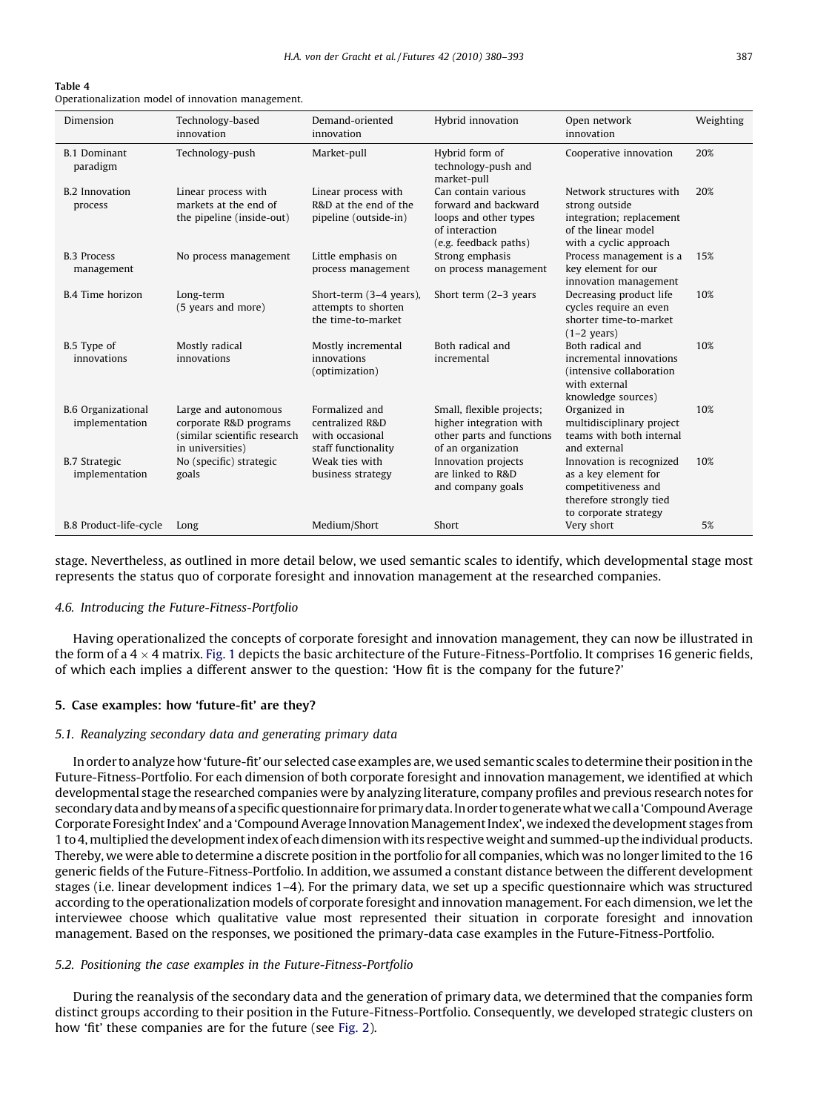#### <span id="page-7-0"></span>Table 4

Operationalization model of innovation management.

| Dimension                                   | Technology-based<br>innovation                                                                     | Demand-oriented<br>innovation                                               | Hybrid innovation                                                                                               | Open network<br>innovation                                                                                                  | Weighting |
|---------------------------------------------|----------------------------------------------------------------------------------------------------|-----------------------------------------------------------------------------|-----------------------------------------------------------------------------------------------------------------|-----------------------------------------------------------------------------------------------------------------------------|-----------|
| <b>B.1 Dominant</b><br>paradigm             | Technology-push                                                                                    | Market-pull                                                                 | Hybrid form of<br>technology-push and<br>market-pull                                                            | Cooperative innovation                                                                                                      | 20%       |
| <b>B.2 Innovation</b><br>process            | Linear process with<br>markets at the end of<br>the pipeline (inside-out)                          | Linear process with<br>R&D at the end of the<br>pipeline (outside-in)       | Can contain various<br>forward and backward<br>loops and other types<br>of interaction<br>(e.g. feedback paths) | Network structures with<br>strong outside<br>integration; replacement<br>of the linear model<br>with a cyclic approach      | 20%       |
| <b>B.3 Process</b><br>management            | No process management                                                                              | Little emphasis on<br>process management                                    | Strong emphasis<br>on process management                                                                        | Process management is a<br>key element for our<br>innovation management                                                     | 15%       |
| <b>B.4 Time horizon</b>                     | Long-term<br>(5 years and more)                                                                    | Short-term (3-4 years),<br>attempts to shorten<br>the time-to-market        | Short term $(2-3$ years                                                                                         | Decreasing product life<br>cycles require an even<br>shorter time-to-market<br>$(1-2 \text{ years})$                        | 10%       |
| B.5 Type of<br>innovations                  | Mostly radical<br>innovations                                                                      | Mostly incremental<br>innovations<br>(optimization)                         | Both radical and<br>incremental                                                                                 | Both radical and<br>incremental innovations<br>(intensive collaboration<br>with external<br>knowledge sources)              | 10%       |
| <b>B.6 Organizational</b><br>implementation | Large and autonomous<br>corporate R&D programs<br>(similar scientific research<br>in universities) | Formalized and<br>centralized R&D<br>with occasional<br>staff functionality | Small, flexible projects;<br>higher integration with<br>other parts and functions<br>of an organization         | Organized in<br>multidisciplinary project<br>teams with both internal<br>and external                                       | 10%       |
| <b>B.7 Strategic</b><br>implementation      | No (specific) strategic<br>goals                                                                   | Weak ties with<br>business strategy                                         | Innovation projects<br>are linked to R&D<br>and company goals                                                   | Innovation is recognized<br>as a key element for<br>competitiveness and<br>therefore strongly tied<br>to corporate strategy | 10%       |
| B.8 Product-life-cycle                      | Long                                                                                               | Medium/Short                                                                | Short                                                                                                           | Very short                                                                                                                  | 5%        |

stage. Nevertheless, as outlined in more detail below, we used semantic scales to identify, which developmental stage most represents the status quo of corporate foresight and innovation management at the researched companies.

#### 4.6. Introducing the Future-Fitness-Portfolio

Having operationalized the concepts of corporate foresight and innovation management, they can now be illustrated in the form of a  $4 \times 4$  matrix. [Fig. 1](#page-8-0) depicts the basic architecture of the Future-Fitness-Portfolio. It comprises 16 generic fields, of which each implies a different answer to the question: 'How fit is the company for the future?'

#### 5. Case examples: how 'future-fit' are they?

#### 5.1. Reanalyzing secondary data and generating primary data

In order to analyze how 'future-fit' our selected case examples are, we used semantic scales to determine their position in the Future-Fitness-Portfolio. For each dimension of both corporate foresight and innovation management, we identified at which developmental stage the researched companies were by analyzing literature, company profiles and previous research notes for secondary data and by means of a specific questionnaire for primary data. In order to generate what we call a 'Compound Average Corporate Foresight Index' and a 'Compound Average Innovation Management Index', we indexed the development stages from 1 to 4,multiplied the development index of each dimension with its respective weight and summed-up the individual products. Thereby, we were able to determine a discrete position in the portfolio for all companies, which was no longer limited to the 16 generic fields of the Future-Fitness-Portfolio. In addition, we assumed a constant distance between the different development stages (i.e. linear development indices 1–4). For the primary data, we set up a specific questionnaire which was structured according to the operationalization models of corporate foresight and innovation management. For each dimension, we let the interviewee choose which qualitative value most represented their situation in corporate foresight and innovation management. Based on the responses, we positioned the primary-data case examples in the Future-Fitness-Portfolio.

#### 5.2. Positioning the case examples in the Future-Fitness-Portfolio

During the reanalysis of the secondary data and the generation of primary data, we determined that the companies form distinct groups according to their position in the Future-Fitness-Portfolio. Consequently, we developed strategic clusters on how 'fit' these companies are for the future (see [Fig. 2](#page-8-0)).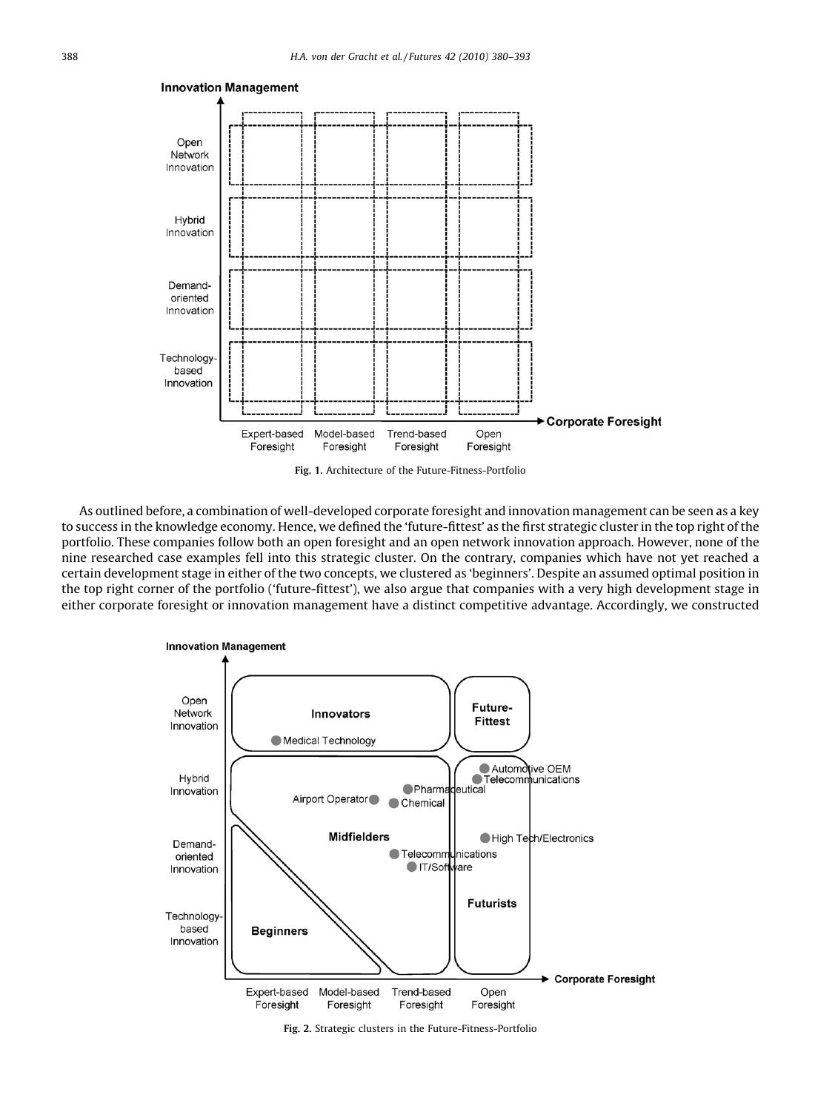

Fig. 1. Architecture of the Future-Fitness-Portfolio

As outlined before, a combination of well-developed corporate foresight and innovation management can be seen as a key to success in the knowledge economy. Hence, we defined the 'future-fittest' as the first strategic cluster in the top right of the portfolio. These companies follow both an open foresight and an open network innovation approach. However, none of the nine researched case examples fell into this strategic cluster. On the contrary, companies which have not yet reached a certain development stage in either of the two concepts, we clustered as 'beginners'. Despite an assumed optimal position in the top right corner of the portfolio ('future-fittest'), we also argue that companies with a very high development stage in either corporate foresight or innovation management have a distinct competitive advantage. Accordingly, we constructed



Fig. 2. Strategic clusters in the Future-Fitness-Portfolio

<span id="page-8-0"></span>**Innovation Management**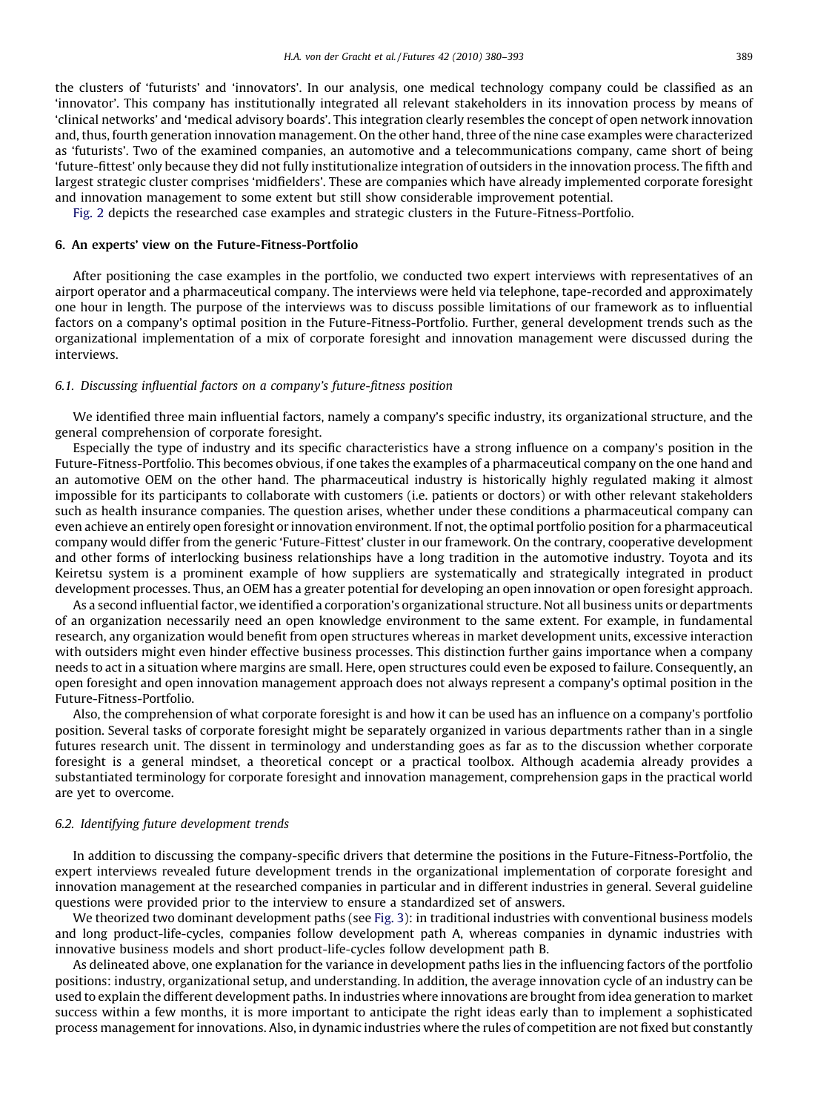<span id="page-9-0"></span>the clusters of 'futurists' and 'innovators'. In our analysis, one medical technology company could be classified as an 'innovator'. This company has institutionally integrated all relevant stakeholders in its innovation process by means of 'clinical networks' and 'medical advisory boards'. This integration clearly resembles the concept of open network innovation and, thus, fourth generation innovation management. On the other hand, three of the nine case examples were characterized as 'futurists'. Two of the examined companies, an automotive and a telecommunications company, came short of being 'future-fittest' only because they did not fully institutionalize integration of outsiders in the innovation process. The fifth and largest strategic cluster comprises 'midfielders'. These are companies which have already implemented corporate foresight and innovation management to some extent but still show considerable improvement potential.

[Fig. 2](#page-8-0) depicts the researched case examples and strategic clusters in the Future-Fitness-Portfolio.

#### 6. An experts' view on the Future-Fitness-Portfolio

After positioning the case examples in the portfolio, we conducted two expert interviews with representatives of an airport operator and a pharmaceutical company. The interviews were held via telephone, tape-recorded and approximately one hour in length. The purpose of the interviews was to discuss possible limitations of our framework as to influential factors on a company's optimal position in the Future-Fitness-Portfolio. Further, general development trends such as the organizational implementation of a mix of corporate foresight and innovation management were discussed during the interviews.

#### 6.1. Discussing influential factors on a company's future-fitness position

We identified three main influential factors, namely a company's specific industry, its organizational structure, and the general comprehension of corporate foresight.

Especially the type of industry and its specific characteristics have a strong influence on a company's position in the Future-Fitness-Portfolio. This becomes obvious, if one takes the examples of a pharmaceutical company on the one hand and an automotive OEM on the other hand. The pharmaceutical industry is historically highly regulated making it almost impossible for its participants to collaborate with customers (i.e. patients or doctors) or with other relevant stakeholders such as health insurance companies. The question arises, whether under these conditions a pharmaceutical company can even achieve an entirely open foresight or innovation environment. If not, the optimal portfolio position for a pharmaceutical company would differ from the generic 'Future-Fittest' cluster in our framework. On the contrary, cooperative development and other forms of interlocking business relationships have a long tradition in the automotive industry. Toyota and its Keiretsu system is a prominent example of how suppliers are systematically and strategically integrated in product development processes. Thus, an OEM has a greater potential for developing an open innovation or open foresight approach.

As a second influential factor, we identified a corporation's organizational structure. Not all business units or departments of an organization necessarily need an open knowledge environment to the same extent. For example, in fundamental research, any organization would benefit from open structures whereas in market development units, excessive interaction with outsiders might even hinder effective business processes. This distinction further gains importance when a company needs to act in a situation where margins are small. Here, open structures could even be exposed to failure. Consequently, an open foresight and open innovation management approach does not always represent a company's optimal position in the Future-Fitness-Portfolio.

Also, the comprehension of what corporate foresight is and how it can be used has an influence on a company's portfolio position. Several tasks of corporate foresight might be separately organized in various departments rather than in a single futures research unit. The dissent in terminology and understanding goes as far as to the discussion whether corporate foresight is a general mindset, a theoretical concept or a practical toolbox. Although academia already provides a substantiated terminology for corporate foresight and innovation management, comprehension gaps in the practical world are yet to overcome.

#### 6.2. Identifying future development trends

In addition to discussing the company-specific drivers that determine the positions in the Future-Fitness-Portfolio, the expert interviews revealed future development trends in the organizational implementation of corporate foresight and innovation management at the researched companies in particular and in different industries in general. Several guideline questions were provided prior to the interview to ensure a standardized set of answers.

We theorized two dominant development paths (see [Fig. 3](#page-10-0)): in traditional industries with conventional business models and long product-life-cycles, companies follow development path A, whereas companies in dynamic industries with innovative business models and short product-life-cycles follow development path B.

As delineated above, one explanation for the variance in development paths lies in the influencing factors of the portfolio positions: industry, organizational setup, and understanding. In addition, the average innovation cycle of an industry can be used to explain the different development paths. In industries where innovations are brought from idea generation to market success within a few months, it is more important to anticipate the right ideas early than to implement a sophisticated process management for innovations. Also, in dynamic industries where the rules of competition are not fixed but constantly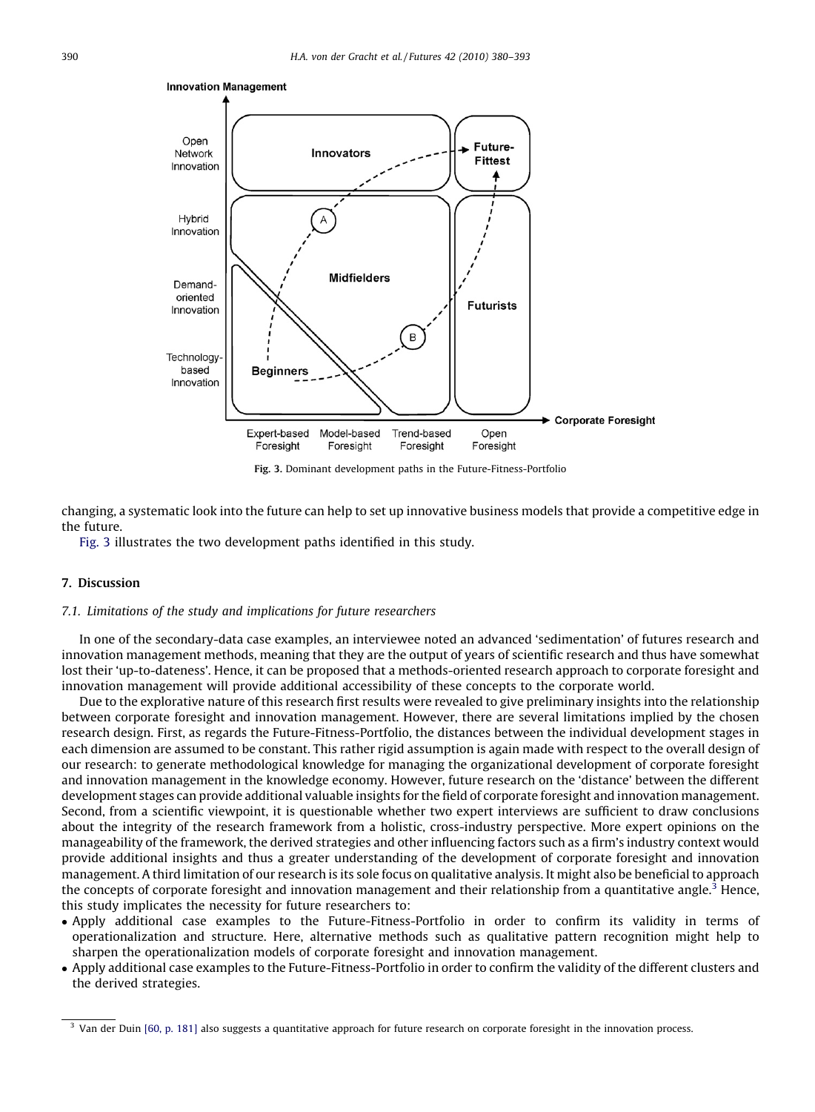<span id="page-10-0"></span>

Fig. 3. Dominant development paths in the Future-Fitness-Portfolio

changing, a systematic look into the future can help to set up innovative business models that provide a competitive edge in the future.

Fig. 3 illustrates the two development paths identified in this study.

### 7. Discussion

#### 7.1. Limitations of the study and implications for future researchers

In one of the secondary-data case examples, an interviewee noted an advanced 'sedimentation' of futures research and innovation management methods, meaning that they are the output of years of scientific research and thus have somewhat lost their 'up-to-dateness'. Hence, it can be proposed that a methods-oriented research approach to corporate foresight and innovation management will provide additional accessibility of these concepts to the corporate world.

Due to the explorative nature of this research first results were revealed to give preliminary insights into the relationship between corporate foresight and innovation management. However, there are several limitations implied by the chosen research design. First, as regards the Future-Fitness-Portfolio, the distances between the individual development stages in each dimension are assumed to be constant. This rather rigid assumption is again made with respect to the overall design of our research: to generate methodological knowledge for managing the organizational development of corporate foresight and innovation management in the knowledge economy. However, future research on the 'distance' between the different development stages can provide additional valuable insights for the field of corporate foresight and innovation management. Second, from a scientific viewpoint, it is questionable whether two expert interviews are sufficient to draw conclusions about the integrity of the research framework from a holistic, cross-industry perspective. More expert opinions on the manageability of the framework, the derived strategies and other influencing factors such as a firm's industry context would provide additional insights and thus a greater understanding of the development of corporate foresight and innovation management. A third limitation of our research is its sole focus on qualitative analysis. It might also be beneficial to approach the concepts of corporate foresight and innovation management and their relationship from a quantitative angle.<sup>3</sup> Hence, this study implicates the necessity for future researchers to:

- Apply additional case examples to the Future-Fitness-Portfolio in order to confirm its validity in terms of operationalization and structure. Here, alternative methods such as qualitative pattern recognition might help to sharpen the operationalization models of corporate foresight and innovation management.
- Apply additional case examples to the Future-Fitness-Portfolio in order to confirm the validity of the different clusters and the derived strategies.

 $3$  Van der Duin [\[60, p. 181\]](#page-12-0) also suggests a quantitative approach for future research on corporate foresight in the innovation process.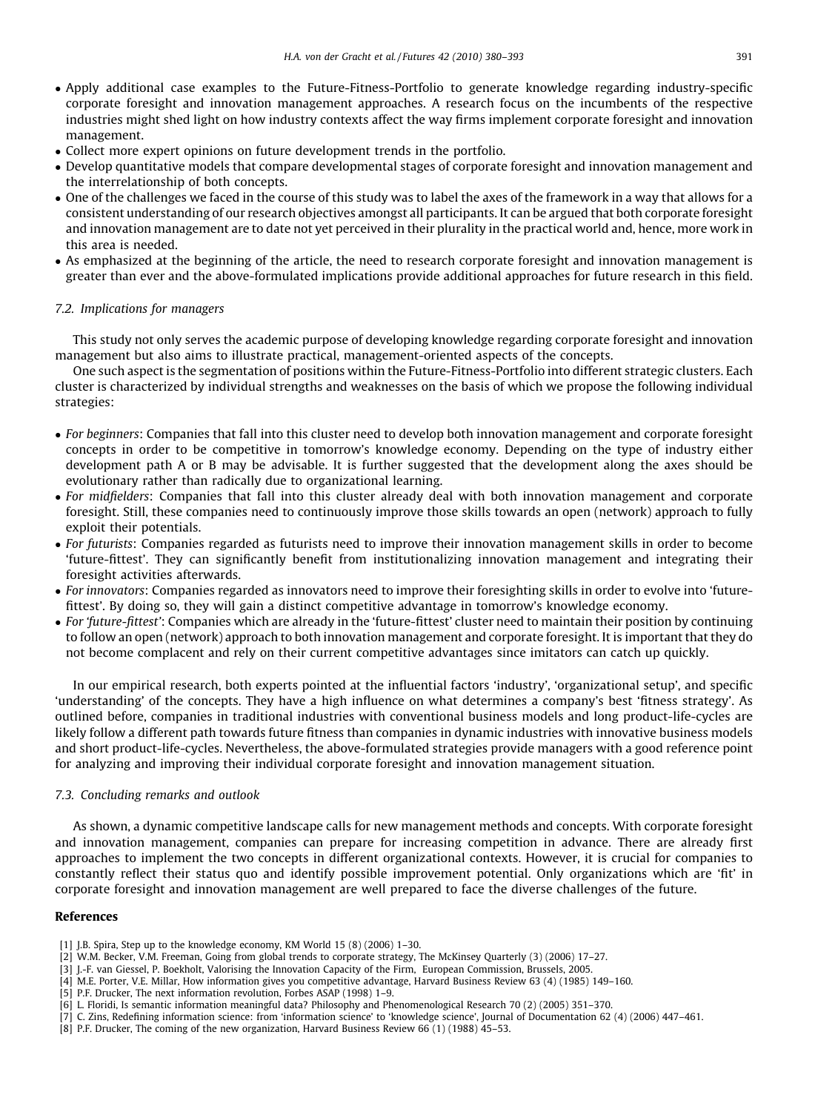- <span id="page-11-0"></span>- Apply additional case examples to the Future-Fitness-Portfolio to generate knowledge regarding industry-specific corporate foresight and innovation management approaches. A research focus on the incumbents of the respective industries might shed light on how industry contexts affect the way firms implement corporate foresight and innovation management.
- Collect more expert opinions on future development trends in the portfolio.
- Develop quantitative models that compare developmental stages of corporate foresight and innovation management and the interrelationship of both concepts.
- One of the challenges we faced in the course of this study was to label the axes of the framework in a way that allows for a consistent understanding of our research objectives amongst all participants. It can be argued that both corporate foresight and innovation management are to date not yet perceived in their plurality in the practical world and, hence, more work in this area is needed.
- As emphasized at the beginning of the article, the need to research corporate foresight and innovation management is greater than ever and the above-formulated implications provide additional approaches for future research in this field.

# 7.2. Implications for managers

This study not only serves the academic purpose of developing knowledge regarding corporate foresight and innovation management but also aims to illustrate practical, management-oriented aspects of the concepts.

One such aspect is the segmentation of positions within the Future-Fitness-Portfolio into different strategic clusters. Each cluster is characterized by individual strengths and weaknesses on the basis of which we propose the following individual strategies:

- For beginners: Companies that fall into this cluster need to develop both innovation management and corporate foresight concepts in order to be competitive in tomorrow's knowledge economy. Depending on the type of industry either development path A or B may be advisable. It is further suggested that the development along the axes should be evolutionary rather than radically due to organizational learning.
- For midfielders: Companies that fall into this cluster already deal with both innovation management and corporate foresight. Still, these companies need to continuously improve those skills towards an open (network) approach to fully exploit their potentials.
- For futurists: Companies regarded as futurists need to improve their innovation management skills in order to become 'future-fittest'. They can significantly benefit from institutionalizing innovation management and integrating their foresight activities afterwards.
- For innovators: Companies regarded as innovators need to improve their foresighting skills in order to evolve into 'futurefittest'. By doing so, they will gain a distinct competitive advantage in tomorrow's knowledge economy.
- For 'future-fittest': Companies which are already in the 'future-fittest' cluster need to maintain their position by continuing to follow an open (network) approach to both innovation management and corporate foresight. It is important that they do not become complacent and rely on their current competitive advantages since imitators can catch up quickly.

In our empirical research, both experts pointed at the influential factors 'industry', 'organizational setup', and specific 'understanding' of the concepts. They have a high influence on what determines a company's best 'fitness strategy'. As outlined before, companies in traditional industries with conventional business models and long product-life-cycles are likely follow a different path towards future fitness than companies in dynamic industries with innovative business models and short product-life-cycles. Nevertheless, the above-formulated strategies provide managers with a good reference point for analyzing and improving their individual corporate foresight and innovation management situation.

# 7.3. Concluding remarks and outlook

As shown, a dynamic competitive landscape calls for new management methods and concepts. With corporate foresight and innovation management, companies can prepare for increasing competition in advance. There are already first approaches to implement the two concepts in different organizational contexts. However, it is crucial for companies to constantly reflect their status quo and identify possible improvement potential. Only organizations which are 'fit' in corporate foresight and innovation management are well prepared to face the diverse challenges of the future.

# References

- [1] J.B. Spira, Step up to the knowledge economy, KM World 15 (8) (2006) 1–30.
- [2] W.M. Becker, V.M. Freeman, Going from global trends to corporate strategy, The McKinsey Quarterly (3) (2006) 17–27.
- [3] J.-F. van Giessel, P. Boekholt, Valorising the Innovation Capacity of the Firm, European Commission, Brussels, 2005.
- [4] M.E. Porter, V.E. Millar, How information gives you competitive advantage, Harvard Business Review 63 (4) (1985) 149–160.
- [5] P.F. Drucker, The next information revolution, Forbes ASAP (1998) 1–9.
- [6] L. Floridi, Is semantic information meaningful data? Philosophy and Phenomenological Research 70 (2) (2005) 351–370.
- [7] C. Zins, Redefining information science: from 'information science' to 'knowledge science', Journal of Documentation 62 (4) (2006) 447–461.
- [8] P.F. Drucker, The coming of the new organization, Harvard Business Review 66 (1) (1988) 45–53.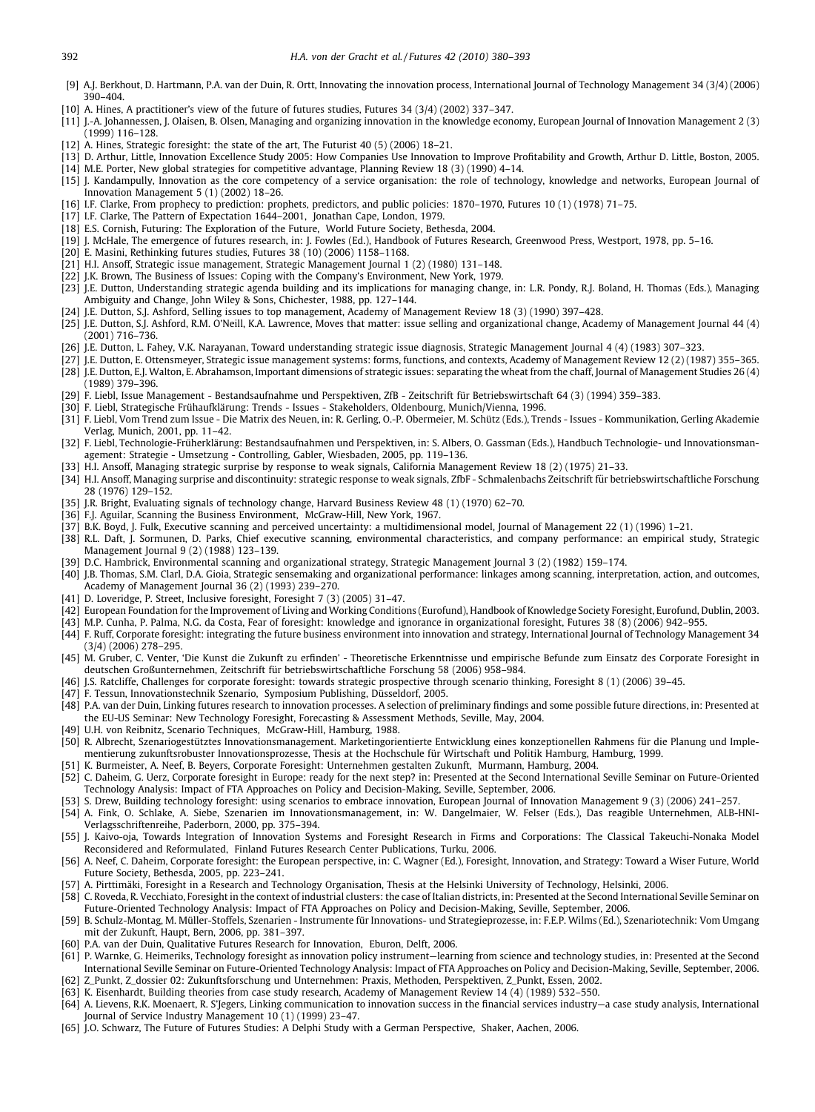- <span id="page-12-0"></span>[9] A.J. Berkhout, D. Hartmann, P.A. van der Duin, R. Ortt, Innovating the innovation process, International Journal of Technology Management 34 (3/4) (2006) 390–404.
- [10] A. Hines, A practitioner's view of the future of futures studies, Futures 34 (3/4) (2002) 337–347.
- [11] J.-A. Johannessen, J. Olaisen, B. Olsen, Managing and organizing innovation in the knowledge economy, European Journal of Innovation Management 2 (3) (1999) 116–128.
- [12] A. Hines, Strategic foresight: the state of the art, The Futurist 40 (5) (2006) 18–21.
- [13] D. Arthur, Little, Innovation Excellence Study 2005: How Companies Use Innovation to Improve Profitability and Growth, Arthur D. Little, Boston, 2005.
- [14] M.E. Porter, New global strategies for competitive advantage, Planning Review 18 (3) (1990) 4–14.
- [15] J. Kandampully, Innovation as the core competency of a service organisation: the role of technology, knowledge and networks, European Journal of Innovation Management 5 (1) (2002) 18–26.
- [16] I.F. Clarke, From prophecy to prediction: prophets, predictors, and public policies: 1870–1970, Futures 10 (1) (1978) 71–75.
- [17] I.F. Clarke, The Pattern of Expectation 1644–2001, Jonathan Cape, London, 1979.
- [18] E.S. Cornish, Futuring: The Exploration of the Future, World Future Society, Bethesda, 2004.
- [19] J. McHale, The emergence of futures research, in: J. Fowles (Ed.), Handbook of Futures Research, Greenwood Press, Westport, 1978, pp. 5–16.
- [20] E. Masini, Rethinking futures studies, Futures 38 (10) (2006) 1158–1168.
- [21] H.I. Ansoff, Strategic issue management, Strategic Management Journal 1 (2) (1980) 131–148.
- [22] J.K. Brown, The Business of Issues: Coping with the Company's Environment, New York, 1979.
- [23] J.E. Dutton, Understanding strategic agenda building and its implications for managing change, in: L.R. Pondy, R.J. Boland, H. Thomas (Eds.), Managing Ambiguity and Change, John Wiley & Sons, Chichester, 1988, pp. 127–144.
- [24] J.E. Dutton, S.J. Ashford, Selling issues to top management, Academy of Management Review 18 (3) (1990) 397–428.
- [25] J.E. Dutton, S.J. Ashford, R.M. O'Neill, K.A. Lawrence, Moves that matter: issue selling and organizational change, Academy of Management Journal 44 (4) (2001) 716–736.
- [26] J.E. Dutton, L. Fahey, V.K. Narayanan, Toward understanding strategic issue diagnosis, Strategic Management Journal 4 (4) (1983) 307–323.
- [27] J.E. Dutton, E. Ottensmeyer, Strategic issue management systems: forms, functions, and contexts, Academy of Management Review 12 (2) (1987) 355–365. [28] J.E. Dutton, E.J. Walton, E. Abrahamson, Important dimensions of strategic issues: separating the wheat from the chaff, Journal of Management Studies 26 (4) (1989) 379–396.
- [29] F. Liebl, Issue Management Bestandsaufnahme und Perspektiven, ZfB Zeitschrift fu¨ r Betriebswirtschaft 64 (3) (1994) 359–383.
- [30] F. Liebl, Strategische Frühaufklärung: Trends Issues Stakeholders, Oldenbourg, Munich/Vienna, 1996.
- [31] F. Liebl, Vom Trend zum Issue Die Matrix des Neuen, in: R. Gerling, O.-P. Obermeier, M. Schütz (Eds.), Trends Issues Kommunikation, Gerling Akademie Verlag, Munich, 2001, pp. 11–42.
- [32] F. Liebl, Technologie-Früherklärung: Bestandsaufnahmen und Perspektiven, in: S. Albers, O. Gassman (Eds.), Handbuch Technologie- und Innovationsmanagement: Strategie - Umsetzung - Controlling, Gabler, Wiesbaden, 2005, pp. 119–136.
- [33] H.I. Ansoff, Managing strategic surprise by response to weak signals, California Management Review 18 (2) (1975) 21–33.
- [34] H.I. Ansoff, Managing surprise and discontinuity: strategic response to weak signals, ZfbF Schmalenbachs Zeitschrift fu¨ r betriebswirtschaftliche Forschung 28 (1976) 129–152.
- [35] J.R. Bright, Evaluating signals of technology change, Harvard Business Review 48 (1) (1970) 62–70.
- [36] F.J. Aguilar, Scanning the Business Environment, McGraw-Hill, New York, 1967.
- [37] B.K. Boyd, J. Fulk, Executive scanning and perceived uncertainty: a multidimensional model, Journal of Management 22 (1) (1996) 1–21.
- [38] R.L. Daft, J. Sormunen, D. Parks, Chief executive scanning, environmental characteristics, and company performance: an empirical study, Strategic Management Journal 9 (2) (1988) 123–139.
- [39] D.C. Hambrick, Environmental scanning and organizational strategy, Strategic Management Journal 3 (2) (1982) 159–174.
- [40] J.B. Thomas, S.M. Clarl, D.A. Gioia, Strategic sensemaking and organizational performance: linkages among scanning, interpretation, action, and outcomes, Academy of Management Journal 36 (2) (1993) 239–270.
- [41] D. Loveridge, P. Street, Inclusive foresight, Foresight 7 (3) (2005) 31–47.
- [42] European Foundation for the Improvement of Living and Working Conditions (Eurofund), Handbook of Knowledge Society Foresight, Eurofund, Dublin, 2003.
- [43] M.P. Cunha, P. Palma, N.G. da Costa, Fear of foresight: knowledge and ignorance in organizational foresight, Futures 38 (8) (2006) 942–955.
- [44] F. Ruff, Corporate foresight: integrating the future business environment into innovation and strategy, International Journal of Technology Management 34 (3/4) (2006) 278–295.
- [45] M. Gruber, C. Venter, 'Die Kunst die Zukunft zu erfinden' Theoretische Erkenntnisse und empirische Befunde zum Einsatz des Corporate Foresight in deutschen Großunternehmen, Zeitschrift für betriebswirtschaftliche Forschung 58 (2006) 958-984.
- [46] J.S. Ratcliffe, Challenges for corporate foresight: towards strategic prospective through scenario thinking, Foresight 8 (1) (2006) 39-45.
- [47] F. Tessun, Innovationstechnik Szenario, Symposium Publishing, Düsseldorf, 2005.
- [48] P.A. van der Duin, Linking futures research to innovation processes. A selection of preliminary findings and some possible future directions, in: Presented at the EU-US Seminar: New Technology Foresight, Forecasting & Assessment Methods, Seville, May, 2004.
- [49] U.H. von Reibnitz, Scenario Techniques, McGraw-Hill, Hamburg, 1988.
- [50] R. Albrecht, Szenariogestütztes Innovationsmanagement. Marketingorientierte Entwicklung eines konzeptionellen Rahmens für die Planung und Implementierung zukunftsrobuster Innovationsprozesse, Thesis at the Hochschule für Wirtschaft und Politik Hamburg, Hamburg, 1999.
- [51] K. Burmeister, A. Neef, B. Beyers, Corporate Foresight: Unternehmen gestalten Zukunft, Murmann, Hamburg, 2004.
- [52] C. Daheim, G. Uerz, Corporate foresight in Europe: ready for the next step? in: Presented at the Second International Seville Seminar on Future-Oriented Technology Analysis: Impact of FTA Approaches on Policy and Decision-Making, Seville, September, 2006.
- [53] S. Drew, Building technology foresight: using scenarios to embrace innovation, European Journal of Innovation Management 9 (3) (2006) 241–257.
- [54] A. Fink, O. Schlake, A. Siebe, Szenarien im Innovationsmanagement, in: W. Dangelmaier, W. Felser (Eds.), Das reagible Unternehmen, ALB-HNI-Verlagsschriftenreihe, Paderborn, 2000, pp. 375–394.
- [55] J. Kaivo-oja, Towards Integration of Innovation Systems and Foresight Research in Firms and Corporations: The Classical Takeuchi-Nonaka Model Reconsidered and Reformulated, Finland Futures Research Center Publications, Turku, 2006.
- [56] A. Neef, C. Daheim, Corporate foresight: the European perspective, in: C. Wagner (Ed.), Foresight, Innovation, and Strategy: Toward a Wiser Future, World Future Society, Bethesda, 2005, pp. 223–241.
- [57] A. Pirttimäki, Foresight in a Research and Technology Organisation, Thesis at the Helsinki University of Technology, Helsinki, 2006.
- [58] C. Roveda, R. Vecchiato, Foresight in the context of industrial clusters: the case of Italian districts, in: Presented at the Second International Seville Seminar on Future-Oriented Technology Analysis: Impact of FTA Approaches on Policy and Decision-Making, Seville, September, 2006.
- [59] B. Schulz-Montag, M. Müller-Stoffels, Szenarien Instrumente für Innovations- und Strategieprozesse, in: F.E.P. Wilms (Ed.), Szenariotechnik: Vom Umgang mit der Zukunft, Haupt, Bern, 2006, pp. 381–397.
- [60] P.A. van der Duin, Qualitative Futures Research for Innovation, Eburon, Delft, 2006.
- [61] P. Warnke, G. Heimeriks, Technology foresight as innovation policy instrument—learning from science and technology studies, in: Presented at the Second International Seville Seminar on Future-Oriented Technology Analysis: Impact of FTA Approaches on Policy and Decision-Making, Seville, September, 2006. [62] Z\_Punkt, Z\_dossier 02: Zukunftsforschung und Unternehmen: Praxis, Methoden, Perspektiven, Z\_Punkt, Essen, 2002.
- [63] K. Eisenhardt, Building theories from case study research, Academy of Management Review 14 (4) (1989) 532–550.
- [64] A. Lievens, R.K. Moenaert, R. S'Jegers, Linking communication to innovation success in the financial services industry—a case study analysis, International Journal of Service Industry Management 10 (1) (1999) 23–47.
- [65] J.O. Schwarz, The Future of Futures Studies: A Delphi Study with a German Perspective, Shaker, Aachen, 2006.